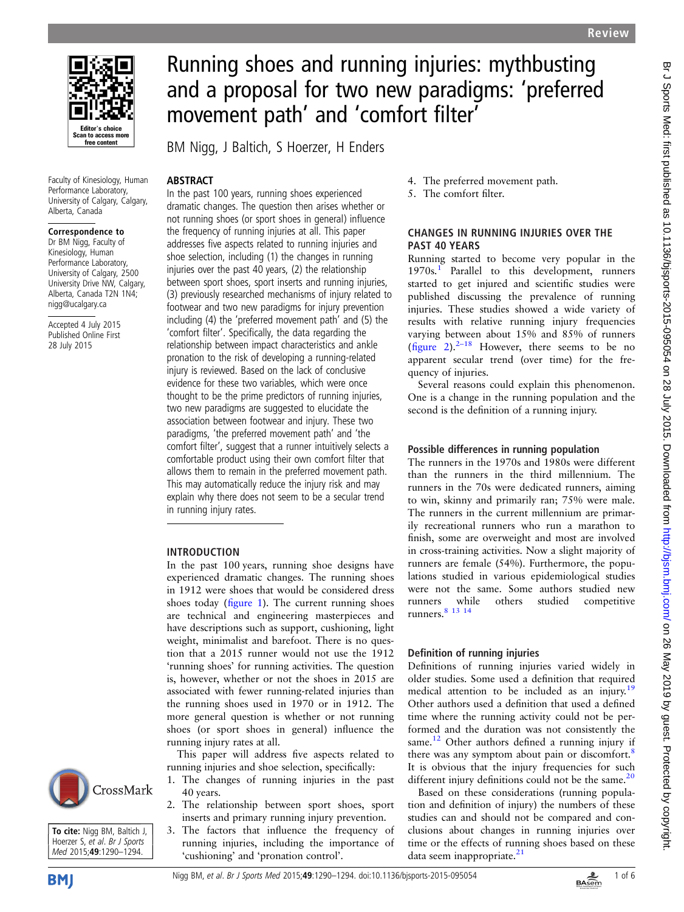

Faculty of Kinesiology, Human Performance Laboratory, University of Calgary, Calgary, Alberta, Canada

#### Correspondence to

Dr BM Nigg, Faculty of Kinesiology, Human Performance Laboratory, University of Calgary, 2500 University Drive NW, Calgary, Alberta, Canada T2N 1N4; nigg@ucalgary.ca

Accepted 4 July 2015 Published Online First 28 July 2015

# Running shoes and running injuries: mythbusting and a proposal for two new paradigms: 'preferred movement path' and 'comfort filter'

BM Nigg, J Baltich, S Hoerzer, H Enders

# **ABSTRACT**

In the past 100 years, running shoes experienced dramatic changes. The question then arises whether or not running shoes (or sport shoes in general) influence the frequency of running injuries at all. This paper addresses five aspects related to running injuries and shoe selection, including (1) the changes in running injuries over the past 40 years, (2) the relationship between sport shoes, sport inserts and running injuries, (3) previously researched mechanisms of injury related to footwear and two new paradigms for injury prevention including (4) the 'preferred movement path' and (5) the 'comfort filter'. Specifically, the data regarding the relationship between impact characteristics and ankle pronation to the risk of developing a running-related injury is reviewed. Based on the lack of conclusive evidence for these two variables, which were once thought to be the prime predictors of running injuries, two new paradigms are suggested to elucidate the association between footwear and injury. These two paradigms, 'the preferred movement path' and 'the comfort filter', suggest that a runner intuitively selects a comfortable product using their own comfort filter that allows them to remain in the preferred movement path. This may automatically reduce the injury risk and may explain why there does not seem to be a secular trend in running injury rates.

#### INTRODUCTION

In the past 100 years, running shoe designs have experienced dramatic changes. The running shoes in 1912 were shoes that would be considered dress shoes today (fi[gure 1\)](#page-1-0). The current running shoes are technical and engineering masterpieces and have descriptions such as support, cushioning, light weight, minimalist and barefoot. There is no question that a 2015 runner would not use the 1912 'running shoes' for running activities. The question is, however, whether or not the shoes in 2015 are associated with fewer running-related injuries than the running shoes used in 1970 or in 1912. The more general question is whether or not running shoes (or sport shoes in general) influence the running injury rates at all.

This paper will address five aspects related to running injuries and shoe selection, specifically:

- 1. The changes of running injuries in the past 40 years.
- 2. The relationship between sport shoes, sport inserts and primary running injury prevention.
- 3. The factors that influence the frequency of running injuries, including the importance of 'cushioning' and 'pronation control'.
- 4. The preferred movement path.
- 5. The comfort filter.

# CHANGES IN RUNNING INJURIES OVER THE PAST 40 YEARS

Running started to become very popular in the [1](#page-4-0)970s.<sup>1</sup> Parallel to this development, runners started to get injured and scientific studies were published discussing the prevalence of running injuries. These studies showed a wide variety of results with relative running injury frequencies varying between about 15% and 85% of runners (fi[gure 2\)](#page-1-0).<sup>2–[18](#page-4-0)</sup> However, there seems to be no apparent secular trend (over time) for the frequency of injuries.

Several reasons could explain this phenomenon. One is a change in the running population and the second is the definition of a running injury.

## Possible differences in running population

The runners in the 1970s and 1980s were different than the runners in the third millennium. The runners in the 70s were dedicated runners, aiming to win, skinny and primarily ran; 75% were male. The runners in the current millennium are primarily recreational runners who run a marathon to finish, some are overweight and most are involved in cross-training activities. Now a slight majority of runners are female (54%). Furthermore, the populations studied in various epidemiological studies were not the same. Some authors studied new runners while others studied competitive runners.<sup>8</sup> <sup>13</sup> <sup>14</sup>

## Definition of running injuries

Definitions of running injuries varied widely in older studies. Some used a definition that required medical attention to be included as an injury.<sup>[19](#page-4-0)</sup> Other authors used a definition that used a defined time where the running activity could not be performed and the duration was not consistently the same. $12$  Other authors defined a running injury if there was any symptom about pain or discomfort.<sup>[8](#page-4-0)</sup> It is obvious that the injury frequencies for such different injury definitions could not be the same. $20$ 

Based on these considerations (running population and definition of injury) the numbers of these studies can and should not be compared and conclusions about changes in running injuries over time or the effects of running shoes based on these data seem inappropriate.<sup>[21](#page-4-0)</sup>



To cite: Nigg BM, Baltich J, Hoerzer S, et al. Br J Sports Med 2015:49:1290-1294.

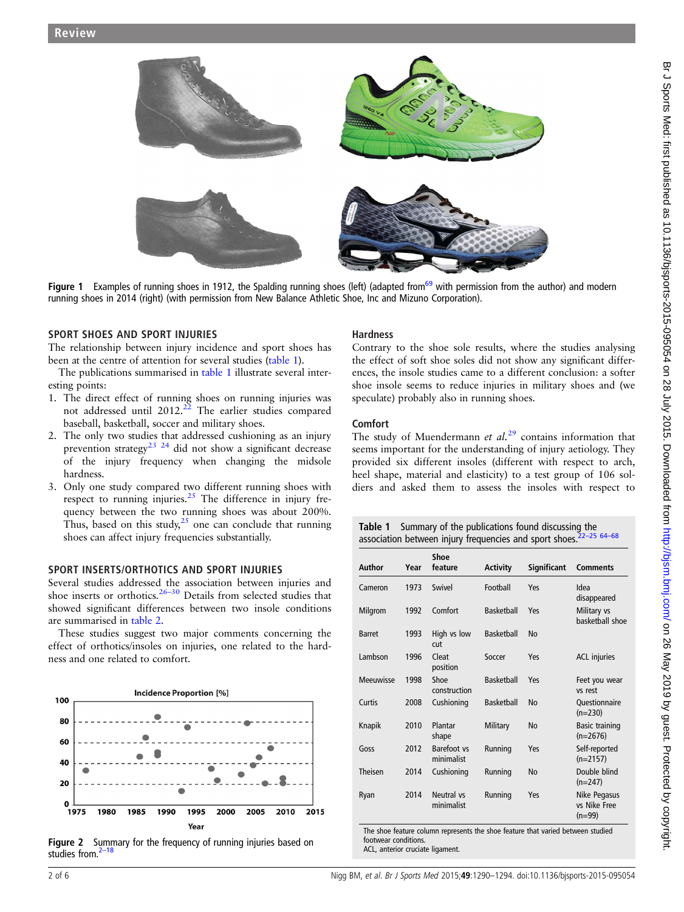<span id="page-1-0"></span>

Figure 1 Examples of running shoes in 1912, the Spalding running shoes (left) (adapted from<sup>69</sup> with permission from the author) and modern running shoes in 2014 (right) (with permission from New Balance Athletic Shoe, Inc and Mizuno Corporation).

#### SPORT SHOES AND SPORT INJURIES

The relationship between injury incidence and sport shoes has been at the centre of attention for several studies (table 1).

The publications summarised in table 1 illustrate several interesting points:

- 1. The direct effect of running shoes on running injuries was not addressed until  $2012<sup>22</sup>$  The earlier studies compared baseball, basketball, soccer and military shoes.
- 2. The only two studies that addressed cushioning as an injury prevention strategy<sup>[23 24](#page-4-0)</sup> did not show a significant decrease of the injury frequency when changing the midsole hardness.
- 3. Only one study compared two different running shoes with respect to running injuries.<sup>[25](#page-4-0)</sup> The difference in injury frequency between the two running shoes was about 200%. Thus, based on this study,  $2^5$  one can conclude that running shoes can affect injury frequencies substantially.

## SPORT INSERTS/ORTHOTICS AND SPORT INJURIES

Several studies addressed the association between injuries and shoe inserts or orthotics.<sup>[26](#page-4-0)–30</sup> Details from selected studies that showed significant differences between two insole conditions are summarised in [table 2](#page-2-0).

These studies suggest two major comments concerning the effect of orthotics/insoles on injuries, one related to the hardness and one related to comfort.



Figure 2 Summary for the frequency of running injuries based on studies from. $<sup>2</sup>$ </sup>

## Hardness

Contrary to the shoe sole results, where the studies analysing the effect of soft shoe soles did not show any significant differences, the insole studies came to a different conclusion: a softer shoe insole seems to reduce injuries in military shoes and (we speculate) probably also in running shoes.

#### Comfort

The study of Muendermann *et al.*<sup>[29](#page-4-0)</sup> contains information that seems important for the understanding of injury aetiology. They provided six different insoles (different with respect to arch, heel shape, material and elasticity) to a test group of 106 soldiers and asked them to assess the insoles with respect to

| <b>Table 1</b> Summary of the publications found discussing the                |
|--------------------------------------------------------------------------------|
| 3ssociation between injury frequencies and sport shoes. <sup>22-25 64-68</sup> |

|               |      | Shoe                      |                   |                    |                                                 |
|---------------|------|---------------------------|-------------------|--------------------|-------------------------------------------------|
| <b>Author</b> | Year | feature                   | <b>Activity</b>   | <b>Significant</b> | <b>Comments</b>                                 |
| Cameron       | 1973 | Swivel                    | Football          | Yes                | Idea<br>disappeared                             |
| Milgrom       | 1992 | Comfort                   | <b>Basketball</b> | Yes                | Military vs<br>basketball shoe                  |
| <b>Barret</b> | 1993 | High vs low<br>cut        | <b>Basketball</b> | <b>No</b>          |                                                 |
| Lambson       | 1996 | Cleat<br>position         | Soccer            | Yes                | <b>ACL</b> injuries                             |
| Meeuwisse     | 1998 | Shoe<br>construction      | <b>Basketball</b> | Yes                | Feet you wear<br>vs rest                        |
| Curtis        | 2008 | Cushioning                | <b>Basketball</b> | <b>No</b>          | Questionnaire<br>$(n=230)$                      |
| Knapik        | 2010 | Plantar<br>shape          | Military          | No                 | <b>Basic training</b><br>$(n=2676)$             |
| Goss          | 2012 | Barefoot vs<br>minimalist | Running           | Yes                | Self-reported<br>$(n=2157)$                     |
| Theisen       | 2014 | Cushioning                | Running           | No                 | Double blind<br>$(n=247)$                       |
| Ryan          | 2014 | Neutral vs<br>minimalist  | Running           | Yes                | <b>Nike Pegasus</b><br>vs Nike Free<br>$(n=99)$ |

The shoe feature column represents the shoe feature that varied between studied footwear conditions. ACL, anterior cruciate ligament.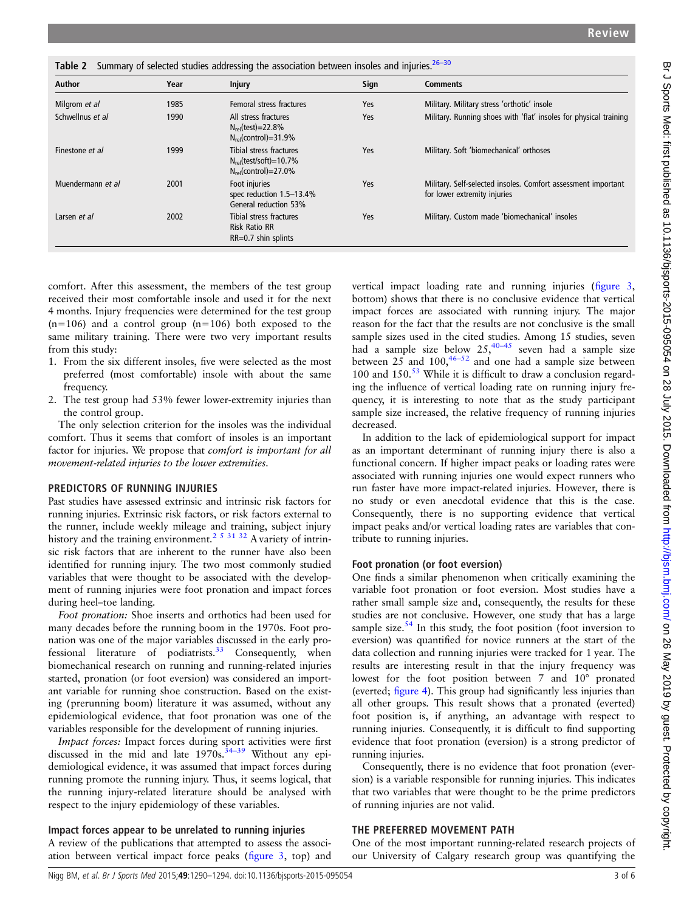<span id="page-2-0"></span>

| Table 2 Summary of selected studies addressing the association between insoles and injuries. 26-30 |      |                                                                                            |      |                                                                                               |  |  |
|----------------------------------------------------------------------------------------------------|------|--------------------------------------------------------------------------------------------|------|-----------------------------------------------------------------------------------------------|--|--|
| Author                                                                                             | Year | <b>Injury</b>                                                                              | Sign | <b>Comments</b>                                                                               |  |  |
| Milgrom et al                                                                                      | 1985 | Femoral stress fractures                                                                   | Yes  | Military. Military stress 'orthotic' insole                                                   |  |  |
| Schwellnus et al                                                                                   | 1990 | All stress fractures<br>$N_{rel}$ (test)=22.8%<br>$N_{rel}(control)=31.9\%$                | Yes  | Military. Running shoes with 'flat' insoles for physical training                             |  |  |
| Finestone et al                                                                                    | 1999 | Tibial stress fractures<br>$N_{rel}$ (test/soft)=10.7%<br>$N_{\text{rel}}$ (control)=27.0% | Yes  | Military. Soft 'biomechanical' orthoses                                                       |  |  |
| Muendermann et al                                                                                  | 2001 | Foot injuries<br>spec reduction 1.5-13.4%<br>General reduction 53%                         | Yes  | Military. Self-selected insoles. Comfort assessment important<br>for lower extremity injuries |  |  |
| Larsen et al                                                                                       | 2002 | Tibial stress fractures<br><b>Risk Ratio RR</b><br>$RR=0.7$ shin splints                   | Yes  | Military. Custom made 'biomechanical' insoles                                                 |  |  |

comfort. After this assessment, the members of the test group received their most comfortable insole and used it for the next 4 months. Injury frequencies were determined for the test group  $(n=106)$  and a control group  $(n=106)$  both exposed to the same military training. There were two very important results from this study:

- 1. From the six different insoles, five were selected as the most preferred (most comfortable) insole with about the same frequency.
- 2. The test group had 53% fewer lower-extremity injuries than the control group.

The only selection criterion for the insoles was the individual comfort. Thus it seems that comfort of insoles is an important factor for injuries. We propose that comfort is important for all movement-related injuries to the lower extremities.

#### PREDICTORS OF RUNNING INJURIES

Past studies have assessed extrinsic and intrinsic risk factors for running injuries. Extrinsic risk factors, or risk factors external to the runner, include weekly mileage and training, subject injury history and the training environment.<sup>[2 5 31 32](#page-4-0)</sup> A variety of intrinsic risk factors that are inherent to the runner have also been identified for running injury. The two most commonly studied variables that were thought to be associated with the development of running injuries were foot pronation and impact forces during heel–toe landing.

Foot pronation: Shoe inserts and orthotics had been used for many decades before the running boom in the 1970s. Foot pronation was one of the major variables discussed in the early pro-fessional literature of podiatrists.<sup>[33](#page-4-0)</sup> Consequently, when biomechanical research on running and running-related injuries started, pronation (or foot eversion) was considered an important variable for running shoe construction. Based on the existing (prerunning boom) literature it was assumed, without any epidemiological evidence, that foot pronation was one of the variables responsible for the development of running injuries.

Impact forces: Impact forces during sport activities were first discussed in the mid and late  $1970s$ .<sup>[34](#page-4-0)–39</sup> Without any epidemiological evidence, it was assumed that impact forces during running promote the running injury. Thus, it seems logical, that the running injury-related literature should be analysed with respect to the injury epidemiology of these variables.

# Impact forces appear to be unrelated to running injuries

A review of the publications that attempted to assess the association between vertical impact force peaks (fi[gure 3,](#page-3-0) top) and

vertical impact loading rate and running injuries (fi[gure 3,](#page-3-0) bottom) shows that there is no conclusive evidence that vertical impact forces are associated with running injury. The major reason for the fact that the results are not conclusive is the small sample sizes used in the cited studies. Among 15 studies, seven had a sample size below  $25, \frac{40-45}{ }$  $25, \frac{40-45}{ }$  $25, \frac{40-45}{ }$  seven had a sample size between  $25$  and  $100,^{46-52}$  $100,^{46-52}$  $100,^{46-52}$  and one had a sample size between 100 and  $150<sup>53</sup>$  $150<sup>53</sup>$  $150<sup>53</sup>$  While it is difficult to draw a conclusion regarding the influence of vertical loading rate on running injury frequency, it is interesting to note that as the study participant sample size increased, the relative frequency of running injuries decreased.

In addition to the lack of epidemiological support for impact as an important determinant of running injury there is also a functional concern. If higher impact peaks or loading rates were associated with running injuries one would expect runners who run faster have more impact-related injuries. However, there is no study or even anecdotal evidence that this is the case. Consequently, there is no supporting evidence that vertical impact peaks and/or vertical loading rates are variables that contribute to running injuries.

## Foot pronation (or foot eversion)

One finds a similar phenomenon when critically examining the variable foot pronation or foot eversion. Most studies have a rather small sample size and, consequently, the results for these studies are not conclusive. However, one study that has a large sample size. $54$  In this study, the foot position (foot inversion to eversion) was quantified for novice runners at the start of the data collection and running injuries were tracked for 1 year. The results are interesting result in that the injury frequency was lowest for the foot position between 7 and 10° pronated (everted; fi[gure 4](#page-3-0)). This group had significantly less injuries than all other groups. This result shows that a pronated (everted) foot position is, if anything, an advantage with respect to running injuries. Consequently, it is difficult to find supporting evidence that foot pronation (eversion) is a strong predictor of running injuries.

Consequently, there is no evidence that foot pronation (eversion) is a variable responsible for running injuries. This indicates that two variables that were thought to be the prime predictors of running injuries are not valid.

## THE PREFERRED MOVEMENT PATH

One of the most important running-related research projects of our University of Calgary research group was quantifying the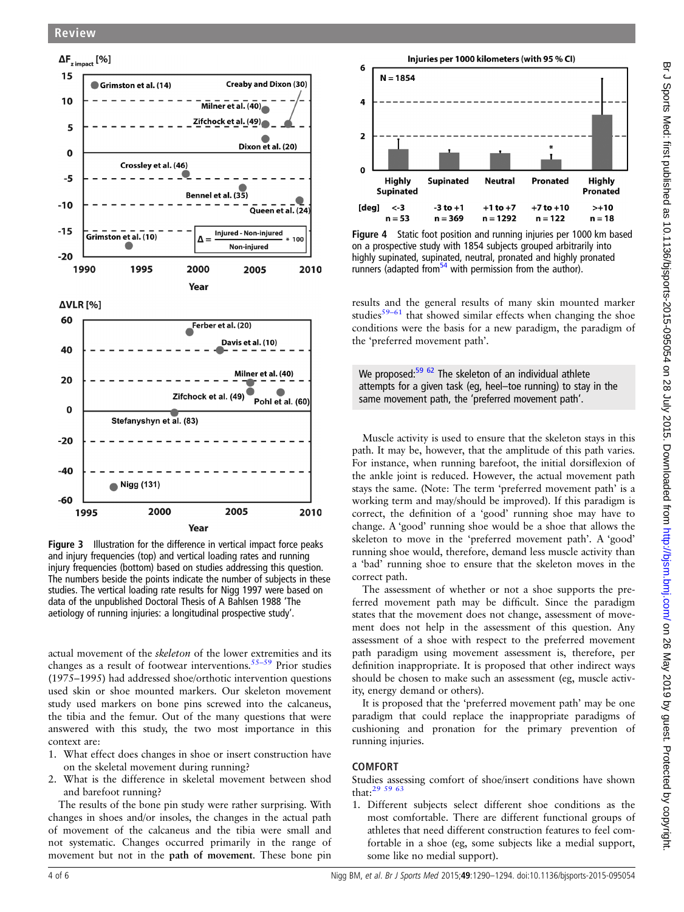$\mathbf 0$ 

 $-20$ 

 $-40$ 

-60

<span id="page-3-0"></span>

2000 2005 1995 2010 Year Figure 3 Illustration for the difference in vertical impact force peaks and injury frequencies (top) and vertical loading rates and running injury frequencies (bottom) based on studies addressing this question. The numbers beside the points indicate the number of subjects in these studies. The vertical loading rate results for Nigg 1997 were based on data of the unpublished Doctoral Thesis of A Bahlsen 1988 'The aetiology of running injuries: a longitudinal prospective study'.

Stefanyshyn et al. (83)

Nigg (131)

actual movement of the skeleton of the lower extremities and its changes as a result of footwear interventions.<sup>[55](#page-5-0)–59</sup> Prior studies (1975–1995) had addressed shoe/orthotic intervention questions used skin or shoe mounted markers. Our skeleton movement study used markers on bone pins screwed into the calcaneus, the tibia and the femur. Out of the many questions that were answered with this study, the two most importance in this context are:

- 1. What effect does changes in shoe or insert construction have on the skeletal movement during running?
- 2. What is the difference in skeletal movement between shod and barefoot running?

The results of the bone pin study were rather surprising. With changes in shoes and/or insoles, the changes in the actual path of movement of the calcaneus and the tibia were small and not systematic. Changes occurred primarily in the range of movement but not in the path of movement. These bone pin



Figure 4 Static foot position and running injuries per 1000 km based on a prospective study with 1854 subjects grouped arbitrarily into highly supinated, supinated, neutral, pronated and highly pronated runners (adapted from<sup>54</sup> with permission from the author).

results and the general results of many skin mounted marker studies $59-61$  $59-61$  that showed similar effects when changing the shoe conditions were the basis for a new paradigm, the paradigm of the 'preferred movement path'.

We proposed:<sup>[59 62](#page-5-0)</sup> The skeleton of an individual athlete attempts for a given task (eg, heel–toe running) to stay in the same movement path, the 'preferred movement path'.

Muscle activity is used to ensure that the skeleton stays in this path. It may be, however, that the amplitude of this path varies. For instance, when running barefoot, the initial dorsiflexion of the ankle joint is reduced. However, the actual movement path stays the same. (Note: The term 'preferred movement path' is a working term and may/should be improved). If this paradigm is correct, the definition of a 'good' running shoe may have to change. A 'good' running shoe would be a shoe that allows the skeleton to move in the 'preferred movement path'. A 'good' running shoe would, therefore, demand less muscle activity than a 'bad' running shoe to ensure that the skeleton moves in the correct path.

The assessment of whether or not a shoe supports the preferred movement path may be difficult. Since the paradigm states that the movement does not change, assessment of movement does not help in the assessment of this question. Any assessment of a shoe with respect to the preferred movement path paradigm using movement assessment is, therefore, per definition inappropriate. It is proposed that other indirect ways should be chosen to make such an assessment (eg, muscle activity, energy demand or others).

It is proposed that the 'preferred movement path' may be one paradigm that could replace the inappropriate paradigms of cushioning and pronation for the primary prevention of running injuries.

## COMFORT

Studies assessing comfort of shoe/insert conditions have shown that[:29](#page-4-0) [59 63](#page-5-0)

1. Different subjects select different shoe conditions as the most comfortable. There are different functional groups of athletes that need different construction features to feel comfortable in a shoe (eg, some subjects like a medial support, some like no medial support).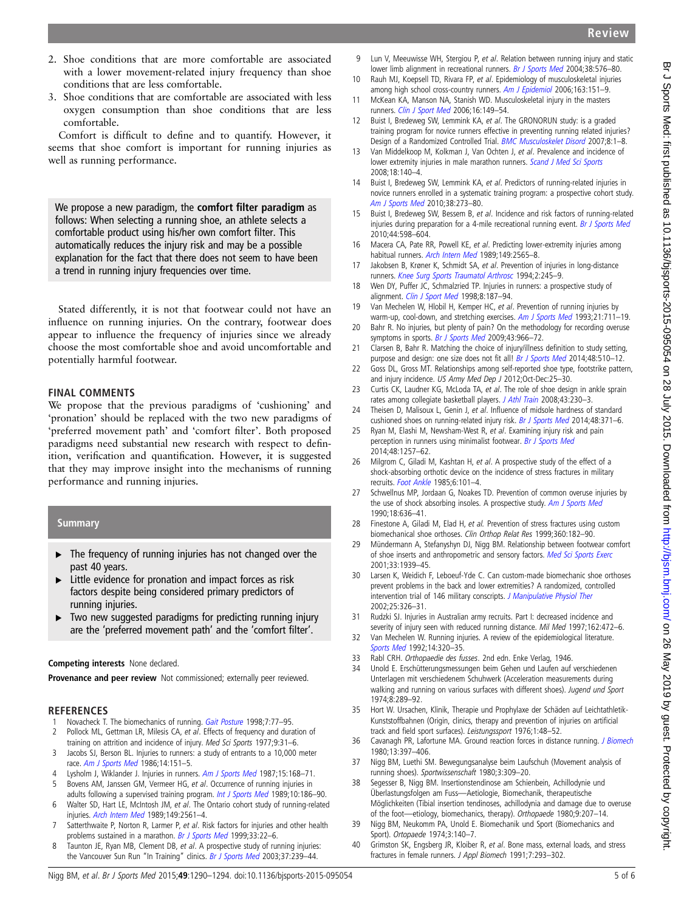- <span id="page-4-0"></span>2. Shoe conditions that are more comfortable are associated with a lower movement-related injury frequency than shoe conditions that are less comfortable.
- 3. Shoe conditions that are comfortable are associated with less oxygen consumption than shoe conditions that are less comfortable.

Comfort is difficult to define and to quantify. However, it seems that shoe comfort is important for running injuries as well as running performance.

We propose a new paradigm, the comfort filter paradigm as follows: When selecting a running shoe, an athlete selects a comfortable product using his/her own comfort filter. This automatically reduces the injury risk and may be a possible explanation for the fact that there does not seem to have been a trend in running injury frequencies over time.

Stated differently, it is not that footwear could not have an influence on running injuries. On the contrary, footwear does appear to influence the frequency of injuries since we already choose the most comfortable shoe and avoid uncomfortable and potentially harmful footwear.

# FINAL COMMENTS

We propose that the previous paradigms of 'cushioning' and 'pronation' should be replaced with the two new paradigms of 'preferred movement path' and 'comfort filter'. Both proposed paradigms need substantial new research with respect to definition, verification and quantification. However, it is suggested that they may improve insight into the mechanisms of running performance and running injuries.

# **Summary**

- ▸ The frequency of running injuries has not changed over the past 40 years.
- ▸ Little evidence for pronation and impact forces as risk factors despite being considered primary predictors of running injuries.
- Two new suggested paradigms for predicting running injury are the 'preferred movement path' and the 'comfort filter'.

# Competing interests None declared.

Provenance and peer review Not commissioned; externally peer reviewed.

# **REFERENCES**

- 1 Novacheck T. The biomechanics of running. [Gait Posture](http://dx.doi.org/10.1016/S0966-6362(97)00038-6) 1998;7:77-95.
- 2 Pollock ML, Gettman LR, Milesis CA, et al. Effects of frequency and duration of training on attrition and incidence of injury. Med Sci Sports 1977;9:31–6.
- 3 Jacobs SJ, Berson BL. Injuries to runners: a study of entrants to a 10,000 meter race. [Am J Sports Med](http://dx.doi.org/10.1177/036354658601400211) 1986;14:151–5.
- 4 Lysholm J, Wiklander J. Injuries in runners. [Am J Sports Med](http://dx.doi.org/10.1177/036354658701500213) 1987;15:168-71. 5 Bovens AM, Janssen GM, Vermeer HG, et al. Occurrence of running injuries in
- adults following a supervised training program. [Int J Sports Med](http://dx.doi.org/10.1055/s-2007-1024970) 1989;10:186-90. 6 Walter SD, Hart LE, McIntosh JM, et al. The Ontario cohort study of running-related injuries. [Arch Intern Med](http://dx.doi.org/10.1001/archinte.1989.00390110113025) 1989;149:2561-4.
- 7 Satterthwaite P, Norton R, Larmer P, et al. Risk factors for injuries and other health problems sustained in a marathon. [Br J Sports Med](http://dx.doi.org/10.1136/bjsm.33.1.22) 1999;33:22-6.
- 8 Taunton JE, Ryan MB, Clement DB, et al. A prospective study of running injuries: the Vancouver Sun Run "In Training" clinics. [Br J Sports Med](http://dx.doi.org/10.1136/bjsm.37.3.239) 2003;37:239-44.
- 9 Lun V, Meeuwisse WH, Stergiou P, et al. Relation between running injury and static lower limb alignment in recreational runners. [Br J Sports Med](http://dx.doi.org/10.1136/bjsm.2003.005488) 2004;38:576-80.
- 10 Rauh MJ, Koepsell TD, Rivara FP, et al. Epidemiology of musculoskeletal injuries among high school cross-country runners. [Am J Epidemiol](http://dx.doi.org/10.1093/aje/kwj022) 2006;163:151-9.
- 11 McKean KA, Manson NA, Stanish WD. Musculoskeletal injury in the masters runners. [Clin J Sport Med](http://dx.doi.org/10.1097/00042752-200603000-00011) 2006;16:149–54.
- 12 Buist I, Bredeweg SW, Lemmink KA, et al. The GRONORUN study: is a graded training program for novice runners effective in preventing running related injuries? Design of a Randomized Controlled Trial. [BMC Musculoskelet Disord](http://dx.doi.org/10.1186/1471-2474-8-24) 2007;8:1–8.
- Van Middelkoop M, Kolkman J, Van Ochten J, et al. Prevalence and incidence of lower extremity injuries in male marathon runners. [Scand J Med Sci Sports](http://dx.doi.org/10.1111/j.1600-0838.2007.00683.x) 2008;18:140–4.
- 14 Buist I, Bredeweg SW, Lemmink KA, et al. Predictors of running-related injuries in novice runners enrolled in a systematic training program: a prospective cohort study. Am [J Sports Med](http://dx.doi.org/10.1177/0363546509347985) 2010;38:273–80.
- 15 Buist I, Bredeweg SW, Bessem B, et al. Incidence and risk factors of running-related injuries during preparation for a 4-mile recreational running event. [Br J Sports Med](http://dx.doi.org/10.1136/bjsm.2007.044677) 2010;44:598–604.
- 16 Macera CA, Pate RR, Powell KE, et al. Predicting lower-extremity injuries among habitual runners. [Arch Intern Med](http://dx.doi.org/10.1001/archinte.1989.00390110117026) 1989;149:2565-8.
- 17 Jakobsen B, Krøner K, Schmidt SA, et al. Prevention of injuries in long-distance runners. [Knee Surg Sports Traumatol Arthrosc](http://dx.doi.org/10.1007/BF01845597) 1994;2:245–9.
- 18 Wen DY, Puffer JC, Schmalzried TP. Injuries in runners: a prospective study of alignment. [Clin J Sport Med](http://dx.doi.org/10.1097/00042752-199807000-00005) 1998;8:187-94.
- 19 Van Mechelen W, Hlobil H, Kemper HC, et al. Prevention of running injuries by warm-up, cool-down, and stretching exercises. [Am J Sports Med](http://dx.doi.org/10.1177/036354659302100513) 1993;21:711-19.
- 20 Bahr R. No injuries, but plenty of pain? On the methodology for recording overuse symptoms in sports. [Br J Sports Med](http://dx.doi.org/10.1136/bjsm.2009.066936) 2009;43:966-72.
- 21 Clarsen B, Bahr R. Matching the choice of injury/illness definition to study setting, purpose and design: one size does not fit all! [Br J Sports Med](http://dx.doi.org/10.1136/bjsports-2013-093297) 2014;48:510-12.
- 22 Goss DL, Gross MT. Relationships among self-reported shoe type, footstrike pattern, and injury incidence. US Army Med Dep J 2012;Oct-Dec:25–30.
- 23 Curtis CK, Laudner KG, McLoda TA, et al. The role of shoe design in ankle sprain rates among collegiate basketball players. [J Athl Train](http://dx.doi.org/10.4085/1062-6050-43.3.230) 2008;43:230-3.
- 24 Theisen D, Malisoux L, Genin J, et al. Influence of midsole hardness of standard cushioned shoes on running-related injury risk. [Br J Sports Med](http://dx.doi.org/10.1136/bjsports-2013-092613) 2014;48:371-6.
- 25 Ryan M, Elashi M, Newsham-West R, et al. Examining injury risk and pain perception in runners using minimalist footwear. [Br J Sports Med](http://dx.doi.org/10.1136/bjsports-2012-092061) 2014;48:1257–62.
- 26 Milgrom C, Giladi M, Kashtan H, et al. A prospective study of the effect of a shock-absorbing orthotic device on the incidence of stress fractures in military recruits. [Foot Ankle](http://dx.doi.org/10.1177/107110078500600209) 1985;6:101–4.
- 27 Schwellnus MP, Jordaan G, Noakes TD. Prevention of common overuse injuries by the use of shock absorbing insoles. A prospective study. [Am J Sports Med](http://dx.doi.org/10.1177/036354659001800614) 1990;18:636–41.
- 28 Finestone A, Giladi M, Elad H, et al. Prevention of stress fractures using custom biomechanical shoe orthoses. Clin Orthop Relat Res 1999;360:182–90.
- 29 Mündermann A, Stefanyshyn DJ, Nigg BM. Relationship between footwear comfort of shoe inserts and anthropometric and sensory factors. [Med Sci Sports Exerc](http://dx.doi.org/10.1097/00005768-200111000-00021) 2001;33:1939–45.
- 30 Larsen K, Weidich F, Leboeuf-Yde C. Can custom-made biomechanic shoe orthoses prevent problems in the back and lower extremities? A randomized, controlled intervention trial of 146 military conscripts. [J Manipulative Physiol Ther](http://dx.doi.org/10.1067/mmt.2002.124419) 2002;25:326–31.
- 31 Rudzki SJ. Injuries in Australian army recruits. Part I: decreased incidence and severity of injury seen with reduced running distance. Mil Med 1997;162:472-6.
- 32 Van Mechelen W. Running injuries. A review of the epidemiological literature. [Sports Med](http://dx.doi.org/10.2165/00007256-199214050-00004) 1992;14:320–35.
- 33 Rabl CRH. Orthopaedie des fusses. 2nd edn. Enke Verlag, 1946.
- 34 Unold E. Erschütterungsmessungen beim Gehen und Laufen auf verschiedenen Unterlagen mit verschiedenem Schuhwerk (Acceleration measurements during walking and running on various surfaces with different shoes). Jugend und Sport 1974;8:289–92.
- 35 Hort W. Ursachen, Klinik, Therapie und Prophylaxe der Schäden auf Leichtathletik-Kunststoffbahnen (Origin, clinics, therapy and prevention of injuries on artificial track and field sport surfaces). Leistungssport 1976;1:48–52.
- 36 Cavanagh PR, Lafortune MA. Ground reaction forces in distance running. *[J Biomech](http://dx.doi.org/10.1016/0021-9290(80)90033-0)* 1980;13:397–406.
- 37 Nigg BM, Luethi SM. Bewegungsanalyse beim Laufschuh (Movement analysis of running shoes). Sportwissenschaft 1980;3:309–20.
- 38 Segesser B, Nigg BM. Insertionstendinose am Schienbein, Achillodynie und Überlastungsfolgen am Fuss—Aetiologie, Biomechanik, therapeutische Möglichkeiten (Tibial insertion tendinoses, achillodynia and damage due to overuse of the foot—etiology, biomechanics, therapy). Orthopaede 1980;9:207–14.
- 39 Nigg BM, Neukomm PA, Unold E. Biomechanik und Sport (Biomechanics and Sport). Ortopaede 1974;3:140–7.
- 40 Grimston SK, Engsberg JR, Kloiber R, et al. Bone mass, external loads, and stress fractures in female runners. J Appl Biomech 1991;7:293–302.